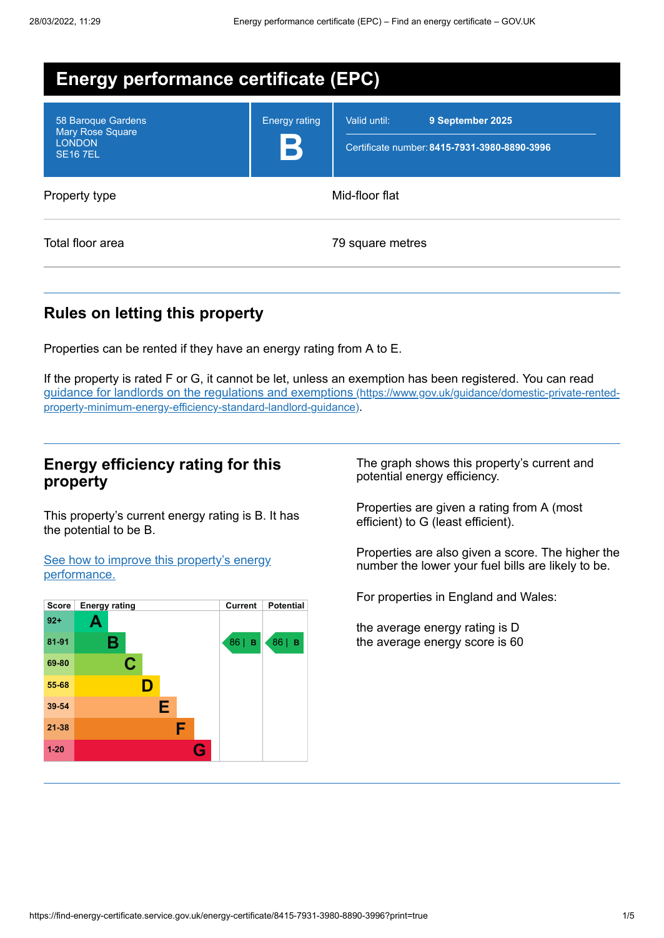| <b>Energy performance certificate (EPC)</b>                                      |                           |                                                                                  |  |  |
|----------------------------------------------------------------------------------|---------------------------|----------------------------------------------------------------------------------|--|--|
| 58 Baroque Gardens<br><b>Mary Rose Square</b><br><b>LONDON</b><br><b>SE167EL</b> | <b>Energy rating</b><br>B | Valid until:<br>9 September 2025<br>Certificate number: 8415-7931-3980-8890-3996 |  |  |
| Property type                                                                    | Mid-floor flat            |                                                                                  |  |  |
| Total floor area                                                                 | 79 square metres          |                                                                                  |  |  |

# **Rules on letting this property**

Properties can be rented if they have an energy rating from A to E.

If the property is rated F or G, it cannot be let, unless an exemption has been registered. You can read guidance for landlords on the regulations and exemptions (https://www.gov.uk/guidance/domestic-private-rented[property-minimum-energy-efficiency-standard-landlord-guidance\)](https://www.gov.uk/guidance/domestic-private-rented-property-minimum-energy-efficiency-standard-landlord-guidance).

# **Energy efficiency rating for this property**

This property's current energy rating is B. It has the potential to be B.

See how to improve this property's energy [performance.](#page-2-0)



The graph shows this property's current and potential energy efficiency.

Properties are given a rating from A (most efficient) to G (least efficient).

Properties are also given a score. The higher the number the lower your fuel bills are likely to be.

For properties in England and Wales:

the average energy rating is D the average energy score is 60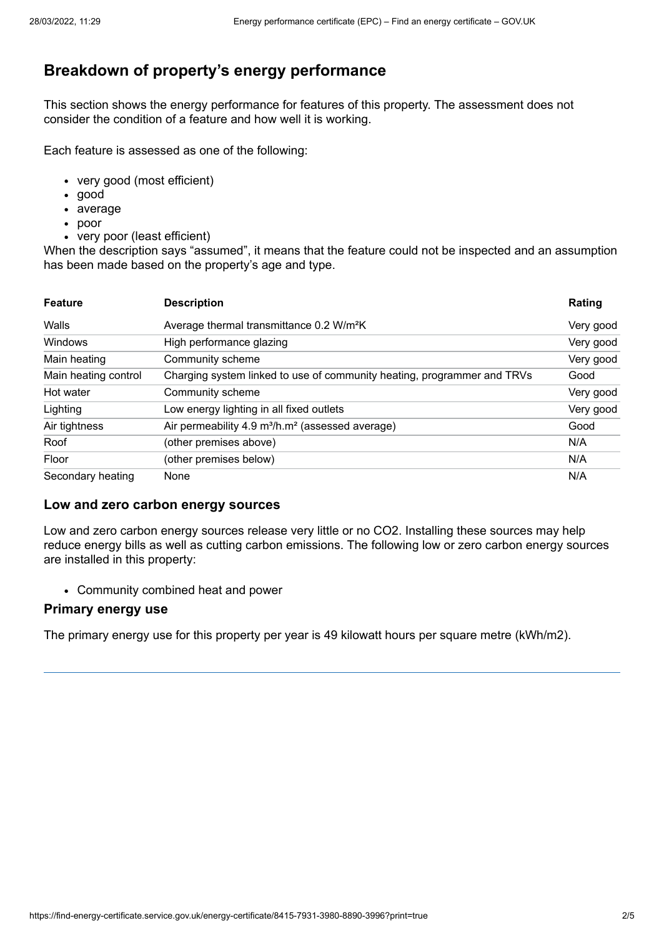# **Breakdown of property's energy performance**

This section shows the energy performance for features of this property. The assessment does not consider the condition of a feature and how well it is working.

Each feature is assessed as one of the following:

- very good (most efficient)
- good
- average
- poor
- very poor (least efficient)

When the description says "assumed", it means that the feature could not be inspected and an assumption has been made based on the property's age and type.

| <b>Feature</b>       | <b>Description</b>                                                       | Rating    |
|----------------------|--------------------------------------------------------------------------|-----------|
| Walls                | Average thermal transmittance 0.2 W/m <sup>2</sup> K                     | Very good |
| Windows              | High performance glazing                                                 | Very good |
| Main heating         | Community scheme                                                         | Very good |
| Main heating control | Charging system linked to use of community heating, programmer and TRVs  | Good      |
| Hot water            | Community scheme                                                         | Very good |
| Lighting             | Low energy lighting in all fixed outlets                                 | Very good |
| Air tightness        | Air permeability 4.9 m <sup>3</sup> /h.m <sup>2</sup> (assessed average) | Good      |
| Roof                 | (other premises above)                                                   | N/A       |
| Floor                | (other premises below)                                                   | N/A       |
| Secondary heating    | None                                                                     | N/A       |

### **Low and zero carbon energy sources**

Low and zero carbon energy sources release very little or no CO2. Installing these sources may help reduce energy bills as well as cutting carbon emissions. The following low or zero carbon energy sources are installed in this property:

Community combined heat and power

### **Primary energy use**

The primary energy use for this property per year is 49 kilowatt hours per square metre (kWh/m2).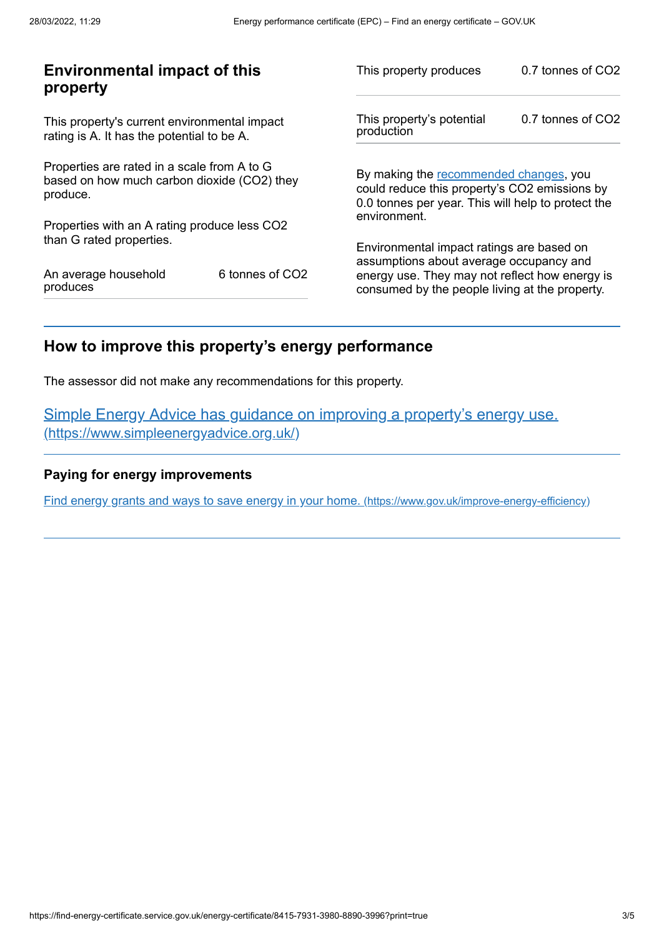| <b>Environmental impact of this</b><br>property                                                        |                             | This property produces                                                                                                                                        | 0.7 tonnes of CO2 |
|--------------------------------------------------------------------------------------------------------|-----------------------------|---------------------------------------------------------------------------------------------------------------------------------------------------------------|-------------------|
| This property's current environmental impact<br>rating is A. It has the potential to be A.             |                             | This property's potential<br>production                                                                                                                       | 0.7 tonnes of CO2 |
| Properties are rated in a scale from A to G<br>based on how much carbon dioxide (CO2) they<br>produce. |                             | By making the recommended changes, you<br>could reduce this property's CO2 emissions by<br>0.0 tonnes per year. This will help to protect the<br>environment. |                   |
| Properties with an A rating produce less CO2                                                           |                             |                                                                                                                                                               |                   |
| than G rated properties.                                                                               |                             | Environmental impact ratings are based on                                                                                                                     |                   |
| An average household<br>produces                                                                       | 6 tonnes of CO <sub>2</sub> | assumptions about average occupancy and<br>energy use. They may not reflect how energy is<br>consumed by the people living at the property.                   |                   |

# <span id="page-2-0"></span>**How to improve this property's energy performance**

The assessor did not make any recommendations for this property.

Simple Energy Advice has guidance on improving a property's energy use. [\(https://www.simpleenergyadvice.org.uk/\)](https://www.simpleenergyadvice.org.uk/)

## **Paying for energy improvements**

Find energy grants and ways to save energy in your home. [\(https://www.gov.uk/improve-energy-efficiency\)](https://www.gov.uk/improve-energy-efficiency)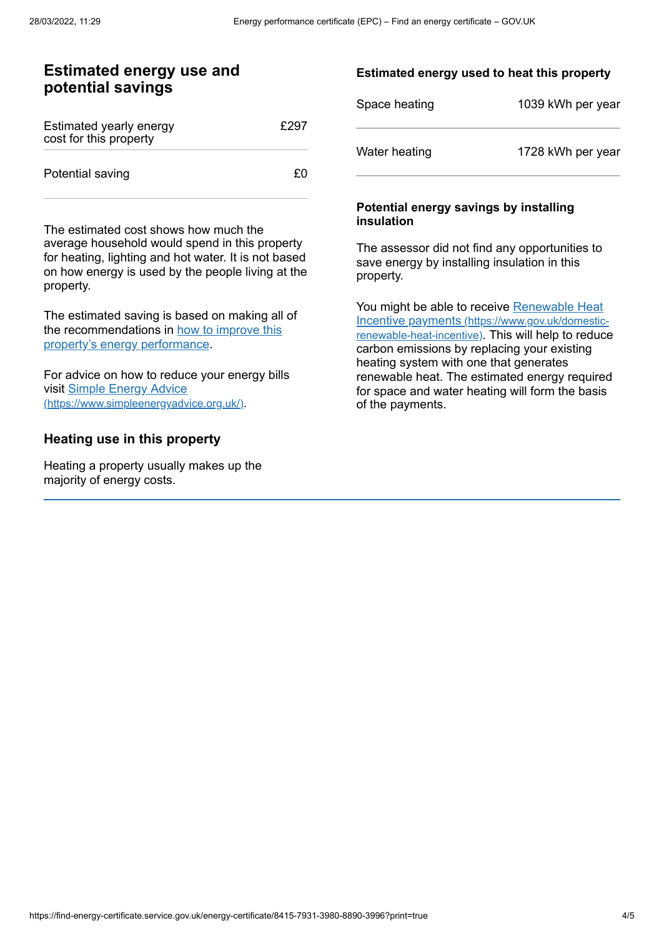## **Estimated energy use and potential savings**

| Estimated yearly energy<br>cost for this property | £297 |
|---------------------------------------------------|------|
| Potential saving                                  | £٥   |

The estimated cost shows how much the average household would spend in this property for heating, lighting and hot water. It is not based on how energy is used by the people living at the property.

The estimated saving is based on making all of the [recommendations](#page-2-0) in how to improve this property's energy performance.

For advice on how to reduce your energy bills visit Simple Energy Advice [\(https://www.simpleenergyadvice.org.uk/\)](https://www.simpleenergyadvice.org.uk/).

## **Heating use in this property**

Heating a property usually makes up the majority of energy costs.

### **Estimated energy used to heat this property**

| Space heating | 1039 kWh per year |
|---------------|-------------------|
| Water heating | 1728 kWh per year |

#### **Potential energy savings by installing insulation**

The assessor did not find any opportunities to save energy by installing insulation in this property.

You might be able to receive Renewable Heat Incentive payments [\(https://www.gov.uk/domestic](https://www.gov.uk/domestic-renewable-heat-incentive)renewable-heat-incentive). This will help to reduce carbon emissions by replacing your existing heating system with one that generates renewable heat. The estimated energy required for space and water heating will form the basis of the payments.